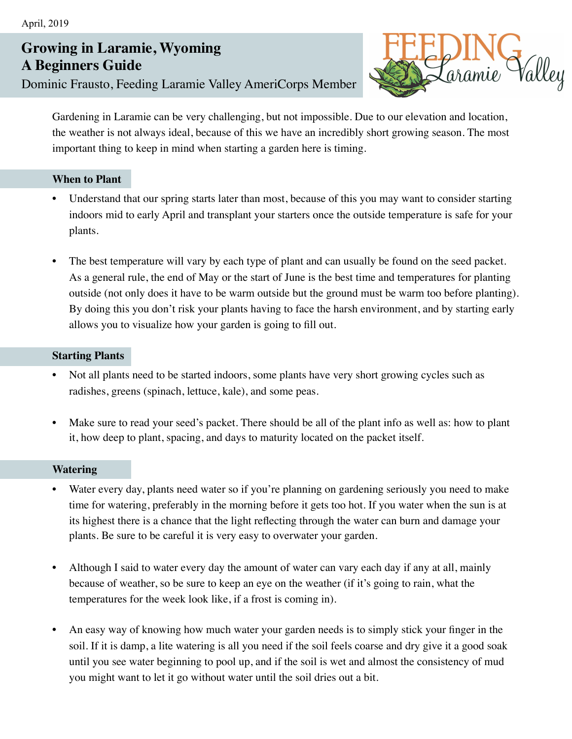# **Growing in Laramie, Wyoming A Beginners Guide**

Dominic Frausto, Feeding Laramie Valley AmeriCorps Member



Gardening in Laramie can be very challenging, but not impossible. Due to our elevation and location, the weather is not always ideal, because of this we have an incredibly short growing season. The most important thing to keep in mind when starting a garden here is timing.

## **When to Plant**

- Understand that our spring starts later than most, because of this you may want to consider starting indoors mid to early April and transplant your starters once the outside temperature is safe for your plants.
- The best temperature will vary by each type of plant and can usually be found on the seed packet. As a general rule, the end of May or the start of June is the best time and temperatures for planting outside (not only does it have to be warm outside but the ground must be warm too before planting). By doing this you don't risk your plants having to face the harsh environment, and by starting early allows you to visualize how your garden is going to fill out.

## **Starting Plants**

- Not all plants need to be started indoors, some plants have very short growing cycles such as radishes, greens (spinach, lettuce, kale), and some peas.
- Make sure to read your seed's packet. There should be all of the plant info as well as: how to plant it, how deep to plant, spacing, and days to maturity located on the packet itself.

### **Watering**

- Water every day, plants need water so if you're planning on gardening seriously you need to make time for watering, preferably in the morning before it gets too hot. If you water when the sun is at its highest there is a chance that the light reflecting through the water can burn and damage your plants. Be sure to be careful it is very easy to overwater your garden.
- Although I said to water every day the amount of water can vary each day if any at all, mainly because of weather, so be sure to keep an eye on the weather (if it's going to rain, what the temperatures for the week look like, if a frost is coming in).
- An easy way of knowing how much water your garden needs is to simply stick your finger in the soil. If it is damp, a lite watering is all you need if the soil feels coarse and dry give it a good soak until you see water beginning to pool up, and if the soil is wet and almost the consistency of mud you might want to let it go without water until the soil dries out a bit.